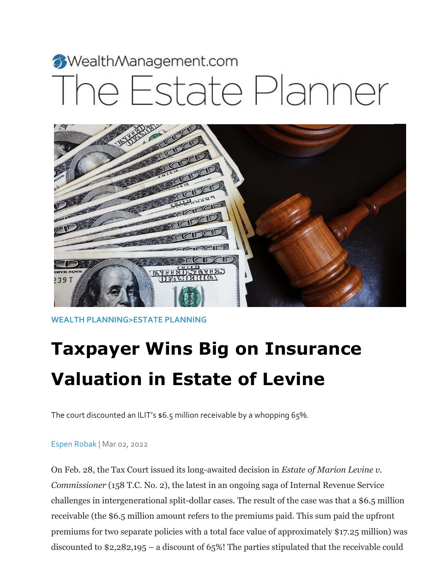# WealthManagement.com he Estate Planner



**[WEALTH PLANNING](https://www.wealthmanagement.com/wealth-planning)[>ESTATE PLANNING](https://www.wealthmanagement.com/wealth-planning/estate-planning)**

## **Taxpayer Wins Big on Insurance Valuation in Estate of Levine**

The court discounted an ILIT's \$6.5 million receivable by a whopping 65%.

#### [Espen Robak](https://www.wealthmanagement.com/author/Espen-Robak) | Mar 02, 2022

On Feb. 28, the Tax Court issued its long-awaited decision in *Estate of Marion Levine v. Commissioner* (158 T.C. No. 2), the latest in an ongoing saga of Internal Revenue Service challenges in intergenerational split-dollar cases. The result of the case was that a \$6.5 million receivable (the \$6.5 million amount refers to the premiums paid. This sum paid the upfront premiums for two separate policies with a total face value of approximately \$17.25 million) was discounted to \$2,282,195 – a discount of 65%! The parties stipulated that the receivable could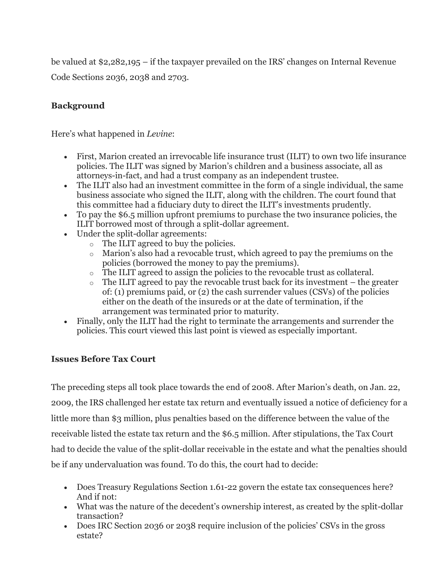be valued at \$2,282,195 – if the taxpayer prevailed on the IRS' changes on Internal Revenue Code Sections 2036, 2038 and 2703.

#### **Background**

Here's what happened in *Levine*:

- First, Marion created an irrevocable life insurance trust (ILIT) to own two life insurance policies. The ILIT was signed by Marion's children and a business associate, all as attorneys-in-fact, and had a trust company as an independent trustee.
- The ILIT also had an investment committee in the form of a single individual, the same business associate who signed the ILIT, along with the children. The court found that this committee had a fiduciary duty to direct the ILIT's investments prudently.
- To pay the \$6.5 million upfront premiums to purchase the two insurance policies, the ILIT borrowed most of through a split-dollar agreement.
- Under the split-dollar agreements:
	- o The ILIT agreed to buy the policies.
	- o Marion's also had a revocable trust, which agreed to pay the premiums on the policies (borrowed the money to pay the premiums).
	- o The ILIT agreed to assign the policies to the revocable trust as collateral.
	- $\circ$  The ILIT agreed to pay the revocable trust back for its investment the greater of: (1) premiums paid, or (2) the cash surrender values (CSVs) of the policies either on the death of the insureds or at the date of termination, if the arrangement was terminated prior to maturity.
- Finally, only the ILIT had the right to terminate the arrangements and surrender the policies. This court viewed this last point is viewed as especially important.

#### **Issues Before Tax Court**

The preceding steps all took place towards the end of 2008. After Marion's death, on Jan. 22, 2009, the IRS challenged her estate tax return and eventually issued a notice of deficiency for a little more than \$3 million, plus penalties based on the difference between the value of the receivable listed the estate tax return and the \$6.5 million. After stipulations, the Tax Court had to decide the value of the split-dollar receivable in the estate and what the penalties should be if any undervaluation was found. To do this, the court had to decide:

- Does Treasury Regulations Section 1.61-22 govern the estate tax consequences here? And if not:
- What was the nature of the decedent's ownership interest, as created by the split-dollar transaction?
- Does IRC Section 2036 or 2038 require inclusion of the policies' CSVs in the gross estate?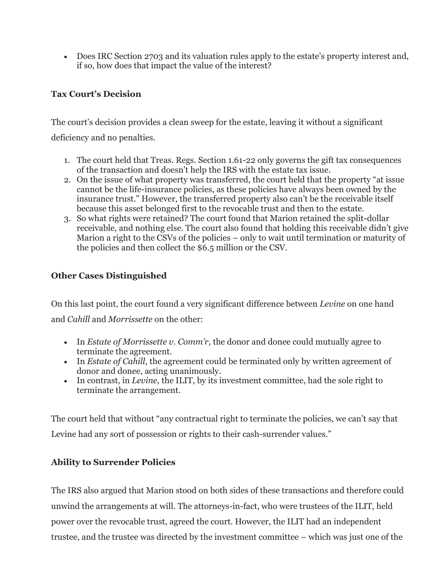Does IRC Section 2703 and its valuation rules apply to the estate's property interest and, if so, how does that impact the value of the interest?

### **Tax Court's Decision**

The court's decision provides a clean sweep for the estate, leaving it without a significant deficiency and no penalties.

- 1. The court held that Treas. Regs. Section 1.61-22 only governs the gift tax consequences of the transaction and doesn't help the IRS with the estate tax issue.
- 2. On the issue of what property was transferred, the court held that the property "at issue cannot be the life-insurance policies, as these policies have always been owned by the insurance trust." However, the transferred property also can't be the receivable itself because this asset belonged first to the revocable trust and then to the estate.
- 3. So what rights were retained? The court found that Marion retained the split-dollar receivable, and nothing else. The court also found that holding this receivable didn't give Marion a right to the CSVs of the policies – only to wait until termination or maturity of the policies and then collect the \$6.5 million or the CSV.

#### **Other Cases Distinguished**

On this last point, the court found a very significant difference between *Levine* on one hand and *Cahill* and *Morrissette* on the other:

- In *Estate of Morrissette v. Comm'r*, the donor and donee could mutually agree to terminate the agreement.
- In *Estate of Cahill*, the agreement could be terminated only by written agreement of donor and donee, acting unanimously.
- In contrast, in *Levine*, the ILIT, by its investment committee, had the sole right to terminate the arrangement.

The court held that without "any contractual right to terminate the policies, we can't say that Levine had any sort of possession or rights to their cash-surrender values."

#### **Ability to Surrender Policies**

The IRS also argued that Marion stood on both sides of these transactions and therefore could unwind the arrangements at will. The attorneys-in-fact, who were trustees of the ILIT, held power over the revocable trust, agreed the court. However, the ILIT had an independent trustee, and the trustee was directed by the investment committee – which was just one of the